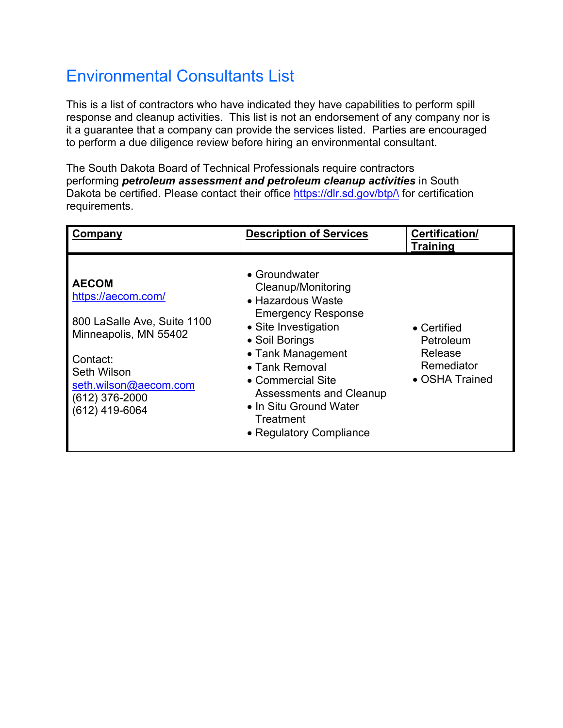# Environmental Consultants List

This is a list of contractors who have indicated they have capabilities to perform spill response and cleanup activities. This list is not an endorsement of any company nor is it a guarantee that a company can provide the services listed. Parties are encouraged to perform a due diligence review before hiring an environmental consultant.

The South Dakota Board of Technical Professionals require contractors performing *petroleum assessment and petroleum cleanup activities* in South Dakota be certified. Please contact their office https://dlr.sd.gov/btp/\ for certification requirements.

| Company                                                                                                                                                                              | <b>Description of Services</b>                                                                                                                                                                                                                                                           | Certification/<br><b>Training</b>                                           |
|--------------------------------------------------------------------------------------------------------------------------------------------------------------------------------------|------------------------------------------------------------------------------------------------------------------------------------------------------------------------------------------------------------------------------------------------------------------------------------------|-----------------------------------------------------------------------------|
| <b>AECOM</b><br>https://aecom.com/<br>800 LaSalle Ave, Suite 1100<br>Minneapolis, MN 55402<br>Contact:<br>Seth Wilson<br>seth.wilson@aecom.com<br>$(612)$ 376-2000<br>(612) 419-6064 | • Groundwater<br>Cleanup/Monitoring<br>• Hazardous Waste<br><b>Emergency Response</b><br>• Site Investigation<br>• Soil Borings<br>• Tank Management<br>• Tank Removal<br>• Commercial Site<br>Assessments and Cleanup<br>• In Situ Ground Water<br>Treatment<br>• Regulatory Compliance | $\bullet$ Certified<br>Petroleum<br>Release<br>Remediator<br>• OSHA Trained |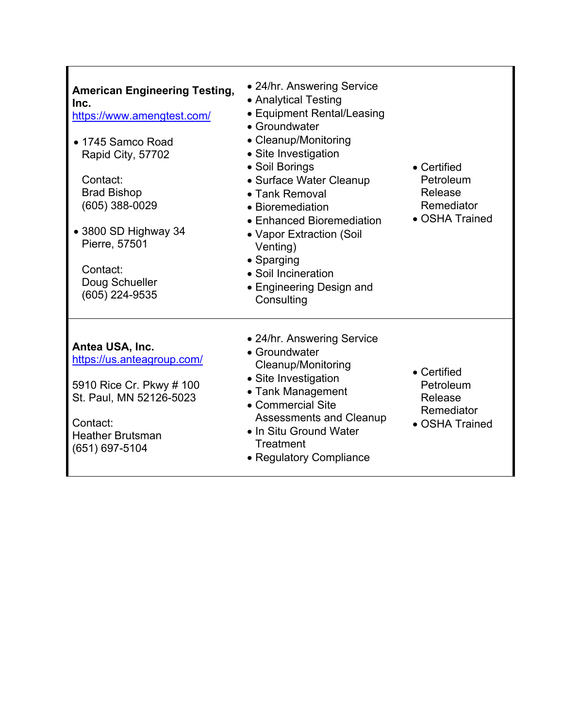| <b>American Engineering Testing,</b><br>Inc.<br>https://www.amengtest.com/<br>• 1745 Samco Road<br>Rapid City, 57702<br>Contact:<br><b>Brad Bishop</b><br>$(605)$ 388-0029<br>• 3800 SD Highway 34<br>Pierre, 57501<br>Contact:<br>Doug Schueller<br>(605) 224-9535 | • 24/hr. Answering Service<br>• Analytical Testing<br>• Equipment Rental/Leasing<br>• Groundwater<br>• Cleanup/Monitoring<br>• Site Investigation<br>• Soil Borings<br>• Surface Water Cleanup<br>• Tank Removal<br>• Bioremediation<br>• Enhanced Bioremediation<br>• Vapor Extraction (Soil<br>Venting)<br>• Sparging<br>• Soil Incineration<br>• Engineering Design and<br>Consulting | • Certified<br>Petroleum<br>Release<br>Remediator<br>• OSHA Trained |
|---------------------------------------------------------------------------------------------------------------------------------------------------------------------------------------------------------------------------------------------------------------------|------------------------------------------------------------------------------------------------------------------------------------------------------------------------------------------------------------------------------------------------------------------------------------------------------------------------------------------------------------------------------------------|---------------------------------------------------------------------|
| Antea USA, Inc.<br>https://us.anteagroup.com/<br>5910 Rice Cr. Pkwy # 100<br>St. Paul, MN 52126-5023<br>Contact:<br><b>Heather Brutsman</b><br>(651) 697-5104                                                                                                       | • 24/hr. Answering Service<br>• Groundwater<br>Cleanup/Monitoring<br>• Site Investigation<br>• Tank Management<br>• Commercial Site<br><b>Assessments and Cleanup</b><br>• In Situ Ground Water<br>Treatment<br>• Regulatory Compliance                                                                                                                                                  | • Certified<br>Petroleum<br>Release<br>Remediator<br>• OSHA Trained |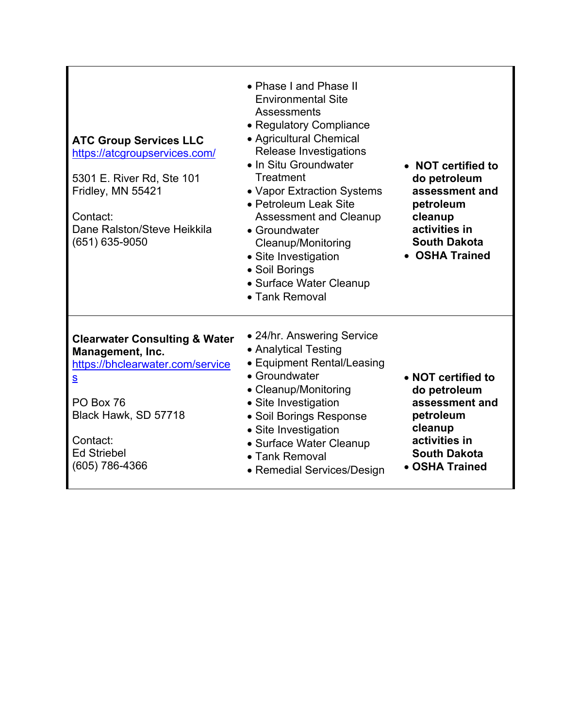| <b>ATC Group Services LLC</b><br>https://atcgroupservices.com/<br>5301 E. River Rd, Ste 101<br>Fridley, MN 55421<br>Contact:<br>Dane Ralston/Steve Heikkila<br>(651) 635-9050                                         | • Phase I and Phase II<br><b>Environmental Site</b><br>Assessments<br>• Regulatory Compliance<br>• Agricultural Chemical<br>Release Investigations<br>• In Situ Groundwater<br>Treatment<br>• Vapor Extraction Systems<br>• Petroleum Leak Site<br><b>Assessment and Cleanup</b><br>• Groundwater<br>Cleanup/Monitoring<br>• Site Investigation<br>• Soil Borings<br>• Surface Water Cleanup<br>• Tank Removal | • NOT certified to<br>do petroleum<br>assessment and<br>petroleum<br>cleanup<br>activities in<br><b>South Dakota</b><br>• OSHA Trained |
|-----------------------------------------------------------------------------------------------------------------------------------------------------------------------------------------------------------------------|----------------------------------------------------------------------------------------------------------------------------------------------------------------------------------------------------------------------------------------------------------------------------------------------------------------------------------------------------------------------------------------------------------------|----------------------------------------------------------------------------------------------------------------------------------------|
| <b>Clearwater Consulting &amp; Water</b><br>Management, Inc.<br>https://bhclearwater.com/service<br>$\underline{\mathbf{S}}$<br>PO Box 76<br>Black Hawk, SD 57718<br>Contact:<br><b>Ed Striebel</b><br>(605) 786-4366 | • 24/hr. Answering Service<br>• Analytical Testing<br>• Equipment Rental/Leasing<br>• Groundwater<br>• Cleanup/Monitoring<br>• Site Investigation<br>• Soil Borings Response<br>• Site Investigation<br>• Surface Water Cleanup<br>• Tank Removal<br>• Remedial Services/Design                                                                                                                                | • NOT certified to<br>do petroleum<br>assessment and<br>petroleum<br>cleanup<br>activities in<br><b>South Dakota</b><br>• OSHA Trained |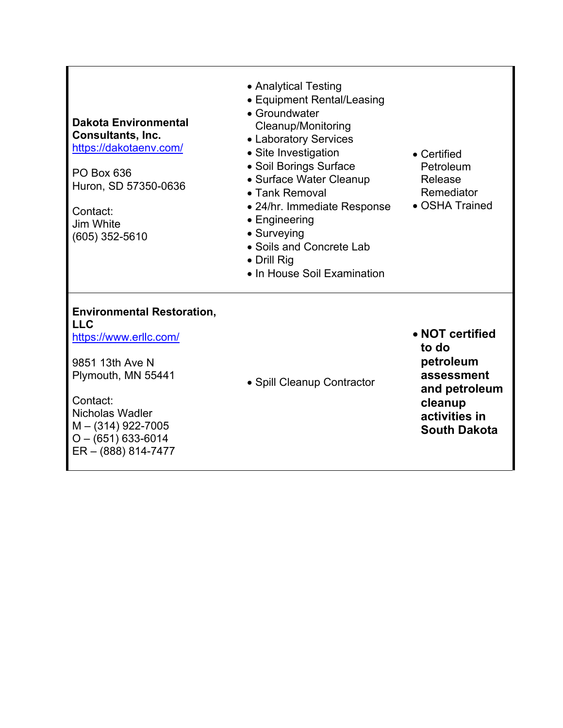### **Dakota Environmental Consultants, Inc.**  https://dakotaenv.com/

PO Box 636 Huron, SD 57350-0636

Contact: Jim White (605) 352-5610

- Analytical Testing
- Equipment Rental/Leasing
- Groundwater Cleanup/Monitoring
- Laboratory Services
- Site Investigation
- Soil Borings Surface
- Surface Water Cleanup
- Tank Removal
- 24/hr. Immediate Response
- Engineering
- Surveying
- Soils and Concrete Lab
- Drill Rig
- In House Soil Examination

#### **Environmental Restoration, LLC**

https://www.erllc.com/

9851 13th Ave N Plymouth, MN 55441

Contact: Nicholas Wadler M – (314) 922-7005  $O - (651) 633 - 6014$ ER – (888) 814-7477 • Spill Cleanup Contractor

- Certified Petroleum Release Remediator
- OSHA Trained

 **NOT certified to do petroleum assessment and petroleum cleanup activities in South Dakota**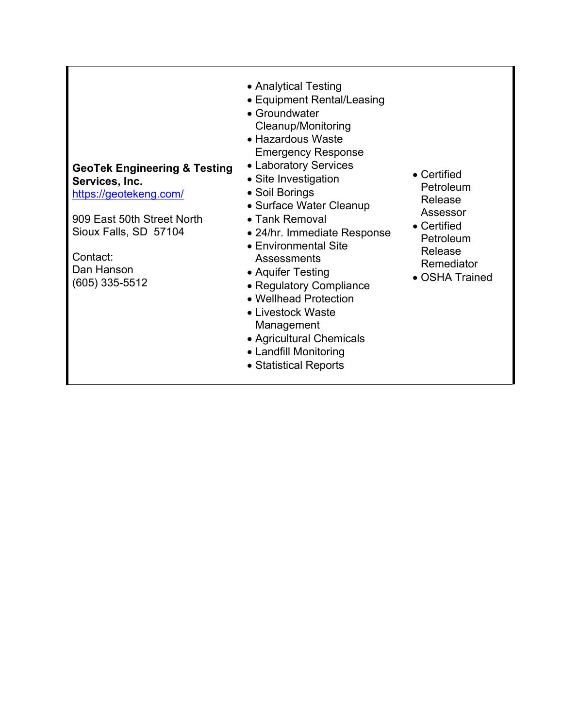# **GeoTek Engineering & Testing Services, Inc.**  https://geotekeng.com/

909 East 50th Street North Sioux Falls, SD 57104

Contact: Dan Hanson (605) 335-5512

- Analytical Testing
- Equipment Rental/Leasing
- Groundwater Cleanup/Monitoring
- Hazardous Waste Emergency Response
- Laboratory Services
- Site Investigation
- Soil Borings
- Surface Water Cleanup
- Tank Removal
- 24/hr. Immediate Response
- Environmental Site **Assessments**
- Aquifer Testing
- Regulatory Compliance
- Wellhead Protection Livestock Waste Management
- Agricultural Chemicals
- Landfill Monitoring
- Statistical Reports
- Certified Petroleum Release Assessor
- Certified Petroleum Release Remediator
- OSHA Trained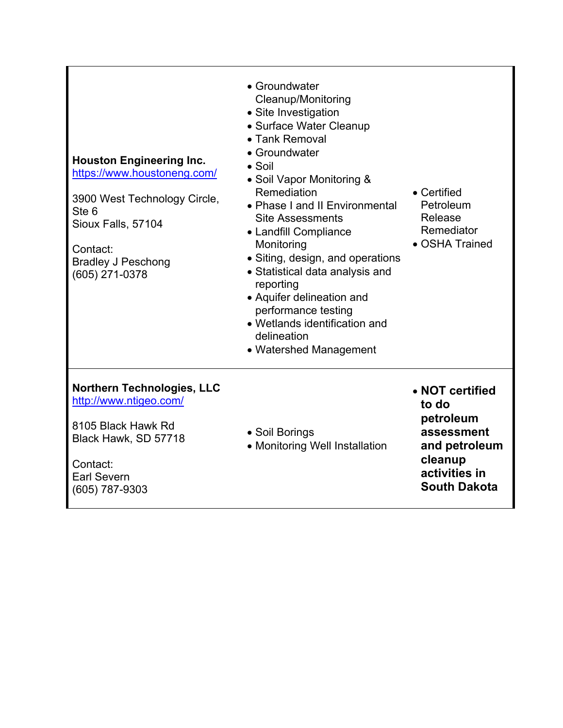| <b>Northern Technologies, LLC</b><br>http://www.ntigeo.com/<br>8105 Black Hawk Rd<br>Black Hawk, SD 57718<br>Contact:<br><b>Earl Severn</b><br>(605) 787-9303                                       | delineation<br>• Watershed Management<br>• Soil Borings<br>• Monitoring Well Installation                                                                                                                                                                                                                                                                                                                                                                            | • NOT certified<br>to do<br>petroleum<br>assessment<br>and petroleum<br>cleanup<br>activities in<br><b>South Dakota</b> |
|-----------------------------------------------------------------------------------------------------------------------------------------------------------------------------------------------------|----------------------------------------------------------------------------------------------------------------------------------------------------------------------------------------------------------------------------------------------------------------------------------------------------------------------------------------------------------------------------------------------------------------------------------------------------------------------|-------------------------------------------------------------------------------------------------------------------------|
| <b>Houston Engineering Inc.</b><br>https://www.houstoneng.com/<br>3900 West Technology Circle,<br>Ste <sub>6</sub><br>Sioux Falls, 57104<br>Contact:<br><b>Bradley J Peschong</b><br>(605) 271-0378 | • Groundwater<br>Cleanup/Monitoring<br>• Site Investigation<br>• Surface Water Cleanup<br>• Tank Removal<br>• Groundwater<br>$\bullet$ Soil<br>• Soil Vapor Monitoring &<br>Remediation<br>• Phase I and II Environmental<br><b>Site Assessments</b><br>• Landfill Compliance<br>Monitoring<br>• Siting, design, and operations<br>• Statistical data analysis and<br>reporting<br>• Aquifer delineation and<br>performance testing<br>• Wetlands identification and | • Certified<br>Petroleum<br>Release<br>Remediator<br>• OSHA Trained                                                     |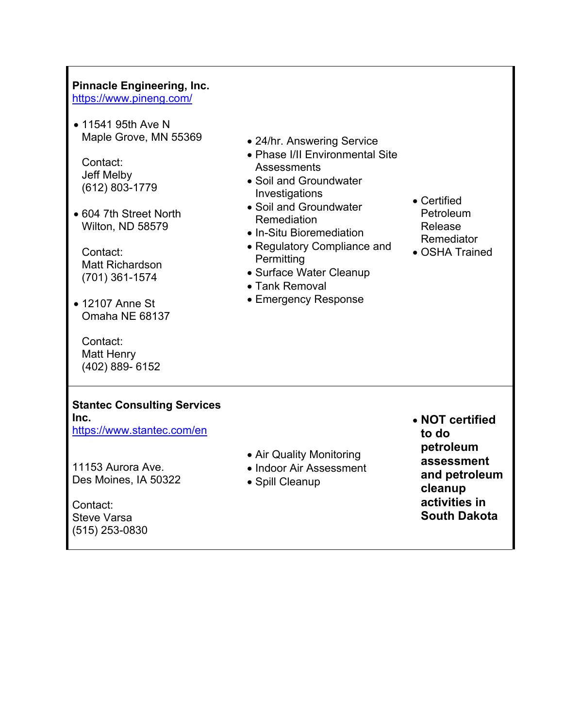# **Pinnacle Engineering, Inc.**

https://www.pineng.com/

• 11541 95th Ave N Maple Grove, MN 55369

Contact: Jeff Melby (612) 803-1779

 604 7th Street North Wilton, ND 58579

Contact: Matt Richardson (701) 361-1574

• 12107 Anne St Omaha NE 68137

Contact: Matt Henry (402) 889- 6152

- 24/hr. Answering Service
- Phase I/II Environmental Site **Assessments**
- Soil and Groundwater Investigations
- Soil and Groundwater Remediation
- In-Situ Bioremediation
- Regulatory Compliance and **Permitting**
- Surface Water Cleanup
- Tank Removal
- Emergency Response
- Certified Petroleum Release Remediator
- OSHA Trained

#### **Stantec Consulting Services Inc.**

https://www.stantec.com/en

- Air Quality Monitoring
- Indoor Air Assessment
	- Spill Cleanup

 **NOT certified to do petroleum assessment and petroleum cleanup activities in South Dakota**

11153 Aurora Ave. Des Moines, IA 50322

Contact: Steve Varsa (515) 253-0830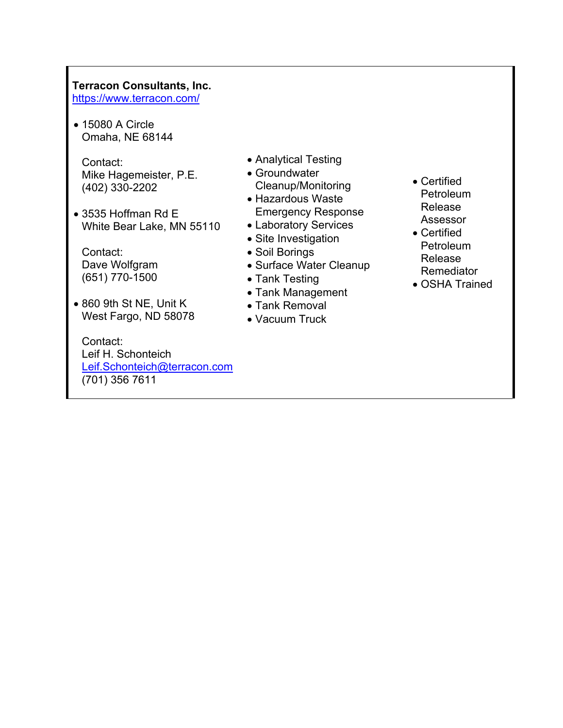## **Terracon Consultants, Inc.**

https://www.terracon.com/

• 15080 A Circle Omaha, NE 68144

Contact: Mike Hagemeister, P.E. (402) 330-2202

 3535 Hoffman Rd E White Bear Lake, MN 55110

Contact: Dave Wolfgram (651) 770-1500

 860 9th St NE, Unit K West Fargo, ND 58078

Contact: Leif H. Schonteich Leif.Schonteich@terracon.com (701) 356 7611

- Analytical Testing
- Groundwater Cleanup/Monitoring • Hazardous Waste
- Emergency Response
- Laboratory Services
- Site Investigation
- Soil Borings
- Surface Water Cleanup
- Tank Testing
- Tank Management
- Tank Removal
- Vacuum Truck
- Certified **Petroleum** Release Assessor
- Certified Petroleum Release Remediator
- OSHA Trained